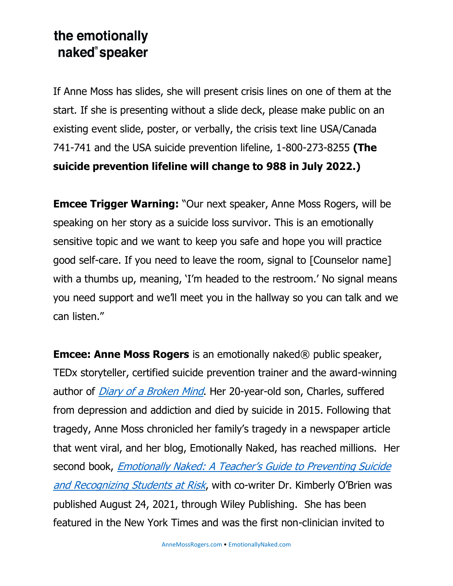## the emotionally naked®speaker

If Anne Moss has slides, she will present crisis lines on one of them at the start. If she is presenting without a slide deck, please make public on an existing event slide, poster, or verbally, the crisis text line USA/Canada 741-741 and the USA suicide prevention lifeline, 1-800-273-8255 **(The suicide prevention lifeline will change to 988 in July 2022.)**

**Emcee Trigger Warning:** "Our next speaker, Anne Moss Rogers, will be speaking on her story as a suicide loss survivor. This is an emotionally sensitive topic and we want to keep you safe and hope you will practice good self-care. If you need to leave the room, signal to [Counselor name] with a thumbs up, meaning, 'I'm headed to the restroom.' No signal means you need support and we'll meet you in the hallway so you can talk and we can listen."

**Emcee: Anne Moss Rogers** is an emotionally naked® public speaker, TEDx storyteller, certified suicide prevention trainer and the award-winning author of *[Diary of a Broken Mind](https://annemoss.com/shop/diary-of-a-broken-mind/)*. Her 20-year-old son, Charles, suffered from depression and addiction and died by suicide in 2015. Following that tragedy, Anne Moss chronicled her family's tragedy in a newspaper article that went viral, and her blog, Emotionally Naked, has reached millions. Her second book, Emotionally Naked: A Teacher's Guide to Preventing Suicide [and Recognizing Students at Risk](https://annemoss.com/shop/a-teachers-guide-to-preventing-suicide/), with co-writer Dr. Kimberly O'Brien was published August 24, 2021, through Wiley Publishing. She has been featured in the New York Times and was the first non-clinician invited to